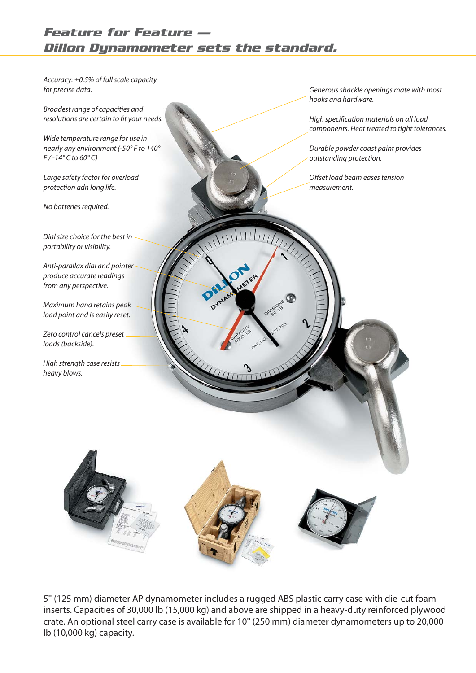## *Feature for Feature — Dillon Dynamometer sets the standard.*

Dial size choice for the best in portability or visibility. Anti-parallax dial and pointer produce accurate readings from any perspective. Maximum hand retains peak load point and is easily reset. Zero control cancels preset loads (backside). High strength case resists heavy blows. Generous shackle openings mate with most hooks and hardware. High specification materials on all load components. Heat treated to tight tolerances. Durable powder coast paint provides outstanding protection. Offset load beam eases tension measurement. Accuracy: ±0.5% of full scale capacity for precise data. Broadest range of capacities and resolutions are certain to fit your needs. Wide temperature range for use in nearly any environment (-50° F to 140°  $F$  / -14° C to 60° C) Large safety factor for overload protection adn long life. No batteries required.

5" (125 mm) diameter AP dynamometer includes a rugged ABS plastic carry case with die-cut foam inserts. Capacities of 30,000 lb (15,000 kg) and above are shipped in a heavy-duty reinforced plywood crate. An optional steel carry case is available for 10" (250 mm) diameter dynamometers up to 20,000 lb (10,000 kg) capacity.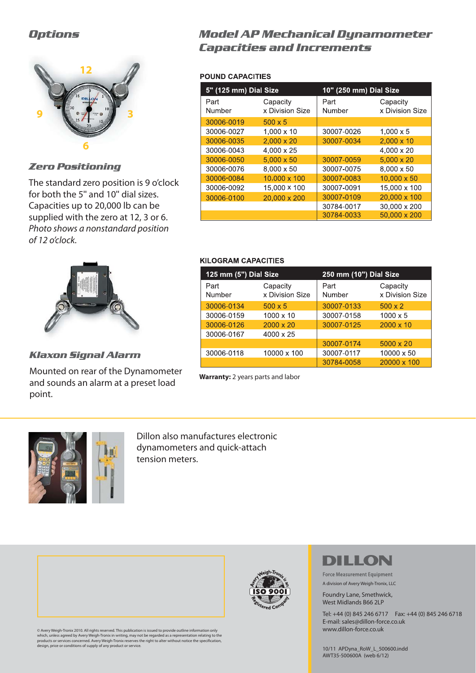### *Options*



*Zero Positioning*

The standard zero position is 9 o'clock for both the 5" and 10" dial sizes. Capacities up to 20,000 lb can be supplied with the zero at 12, 3 or 6. Photo shows a nonstandard position of 12 o'clock.



*Klaxon Signal Alarm*

Mounted on rear of the Dynamometer and sounds an alarm at a preset load point.

## *Model AP Mechanical Dynamometer Capacities and Increments*

#### **POUND CAPACITIES**

| 5" (125 mm) Dial Size |                             | 10" (250 mm) Dial Size |                             |
|-----------------------|-----------------------------|------------------------|-----------------------------|
| Part<br>Number        | Capacity<br>x Division Size | Part<br>Number         | Capacity<br>x Division Size |
| 30006-0019            | $500 \times 5$              |                        |                             |
| 30006-0027            | $1,000 \times 10$           | 30007-0026             | $1,000 \times 5$            |
| 30006-0035            | $2.000 \times 20$           | 30007-0034             | $2,000 \times 10$           |
| 30006-0043            | 4.000 x 25                  |                        | 4.000 x 20                  |
| 30006-0050            | $5.000 \times 50$           | 30007-0059             | $5,000 \times 20$           |
| 30006-0076            | 8,000 x 50                  | 30007-0075             | 8,000 x 50                  |
| 30006-0084            | 10,000 x 100                | 30007-0083             | $10,000 \times 50$          |
| 30006-0092            | 15,000 × 100                | 30007-0091             | 15,000 x 100                |
| 30006-0100            | 20,000 x 200                | 30007-0109             | 20,000 x 100                |
|                       |                             | 30784-0017             | 30,000 x 200                |
|                       |                             | 30784-0033             | 50,000 x 200                |

#### **KILOGRAM CAPACITIES**

| 125 mm (5") Dial Size |                             | 250 mm (10") Dial Size |                             |
|-----------------------|-----------------------------|------------------------|-----------------------------|
| Part<br>Number        | Capacity<br>x Division Size | Part<br>Number         | Capacity<br>x Division Size |
| 30006-0134            | $500 \times 5$              | 30007-0133             | $500 \times 2$              |
| 30006-0159            | $1000 \times 10$            | 30007-0158             | $1000 \times 5$             |
| 30006-0126            | $2000 \times 20$            | 30007-0125             | $2000 \times 10$            |
| 30006-0167            | $4000 \times 25$            |                        |                             |
|                       |                             | 30007-0174             | $5000 \times 20$            |
| 30006-0118            | 10000 x 100                 | 30007-0117             | 10000 x 50                  |
|                       |                             | 30784-0058             | 20000 x 100                 |

**Warranty:** 2 years parts and labor



Dillon also manufactures electronic dynamometers and quick-attach tension meters.



© Avery Weigh-Tronix 2010. All rights reserved. This publication is issued to provide outline information only which, unless agreed by Avery Weigh-Tronix in writing, may not be regarded as a representation relating to the<br>products or services concerned. Avery Weigh-Tronix reserves the right to alter without notice the specification



# DILLON

**Force Measurement Equipment** A division of Avery Weigh-Tronix, LLC

Foundry Lane, Smethwick, West Midlands B66 2LP

Tel: +44 (0) 845 246 6717 Fax: +44 (0) 845 246 6718 E-mail: sales@dillon-force.co.uk www.dillon-force.co.uk

10/11 APDyna\_RoW\_L\_500600.indd AWT35-500600A (web 6/12)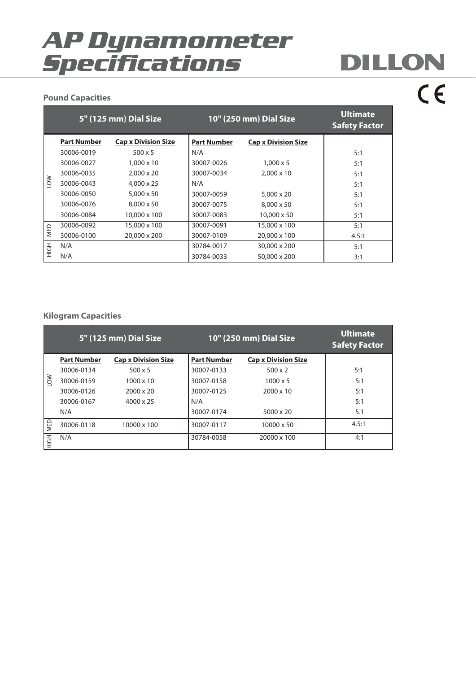# *AP Dynamometer Specifications*

# DILLON  $C \in$

#### **Pound Capacities**

|             |                    | <b>5" (125 mm) Dial Size</b> |                    | 10" (250 mm) Dial Size     | <b>Ultimate</b><br><b>Safety Factor</b> |
|-------------|--------------------|------------------------------|--------------------|----------------------------|-----------------------------------------|
|             | <b>Part Number</b> | <b>Cap x Division Size</b>   | <b>Part Number</b> | <b>Cap x Division Size</b> |                                         |
|             | 30006-0019         | $500 \times 5$               | N/A                |                            | 5:1                                     |
|             | 30006-0027         | $1.000 \times 10$            | 30007-0026         | $1.000 \times 5$           | 5:1                                     |
|             | 30006-0035         | $2,000 \times 20$            | 30007-0034         | $2.000 \times 10$          | 5:1                                     |
| $\geqslant$ | 30006-0043         | $4.000 \times 25$            | N/A                |                            | 5:1                                     |
|             | 30006-0050         | $5.000 \times 50$            | 30007-0059         | $5.000 \times 20$          | 5:1                                     |
|             | 30006-0076         | $8.000 \times 50$            | 30007-0075         | $8.000 \times 50$          | 5:1                                     |
|             | 30006-0084         | 10,000 x 100                 | 30007-0083         | $10,000 \times 50$         | 5:1                                     |
| MED         | 30006-0092         | 15,000 x 100                 | 30007-0091         | 15,000 x 100               | 5:1                                     |
|             | 30006-0100         | 20,000 x 200                 | 30007-0109         | 20,000 x 100               | 4.5:1                                   |
| 공<br>도      | N/A                |                              | 30784-0017         | 30,000 x 200               | 5:1                                     |
|             | N/A                |                              | 30784-0033         | 50,000 x 200               | 3:1                                     |

#### **Kilogram Capacities**

| NOT         | 30006-0043                 | 4,000 x 25                 | N/A                |                            | 5:1                                     |
|-------------|----------------------------|----------------------------|--------------------|----------------------------|-----------------------------------------|
|             | 30006-0050                 | 5,000 x 50                 | 30007-0059         | 5,000 x 20                 | 5:1                                     |
|             | 30006-0076                 | 8,000 x 50                 | 30007-0075         | 8,000 x 50                 | 5:1                                     |
|             | 30006-0084                 | 10,000 x 100               | 30007-0083         | 10,000 x 50                | 5:1                                     |
| MED         | 30006-0092                 | 15,000 x 100               | 30007-0091         | 15,000 x 100               | 5:1                                     |
|             | 30006-0100                 | 20,000 x 200               | 30007-0109         | 20,000 x 100               | 4.5:1                                   |
| HIGH        | N/A                        |                            | 30784-0017         | 30,000 x 200               | 5:1                                     |
|             | N/A                        |                            | 30784-0033         | 50,000 x 200               | 3:1                                     |
|             |                            |                            |                    |                            |                                         |
|             | <b>Kilogram Capacities</b> |                            |                    |                            |                                         |
|             |                            | 5" (125 mm) Dial Size      |                    | 10" (250 mm) Dial Size     | <b>Ultimate</b><br><b>Safety Factor</b> |
|             | <b>Part Number</b>         | <b>Cap x Division Size</b> | <b>Part Number</b> | <b>Cap x Division Size</b> |                                         |
|             | 30006-0134                 | $500 \times 5$             | 30007-0133         | $500 \times 2$             | 5:1                                     |
| $\geqslant$ | 30006-0159                 | 1000 x 10                  | 30007-0158         | $1000 \times 5$            | 5:1                                     |
|             | 30006-0126                 | 2000 x 20                  | 30007-0125         | 2000 x 10                  | 5:1                                     |
|             | 30006-0167                 | $4000 \times 25$           | N/A                |                            | 5:1                                     |
|             | N/A                        |                            | 30007-0174         | 5000 x 20                  | 5.1                                     |
|             | 30006-0118                 | 10000 x 100                | 30007-0117         | 10000 x 50                 | 4.5:1                                   |
| HIGH MED    | N/A                        |                            | 30784-0058         | 20000 x 100                | 4:1                                     |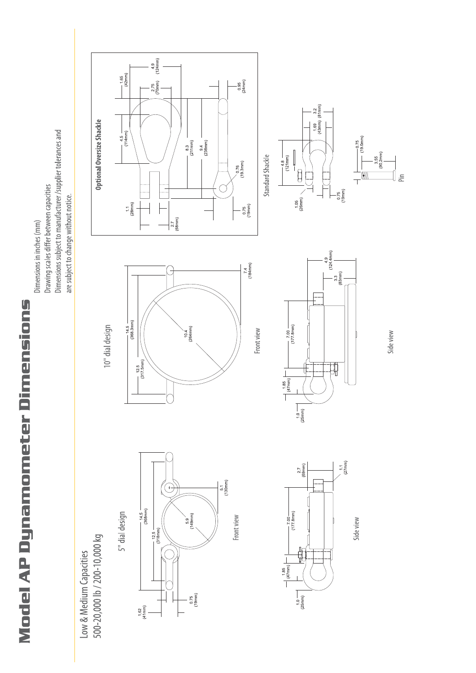**Model AP Dynamometer Dimensions** 

500-20,000 lb / 200-10,000 kg Low & Medium Capacities









10" dial design

Dimensions subject to manufacturer /supplier tolerances and

Drawing scales differ between capacities

Dimensions in inches (mm)



Front view



Side view





 $\frac{0.95}{(24mm)}$ 

 $(19nm)$ 

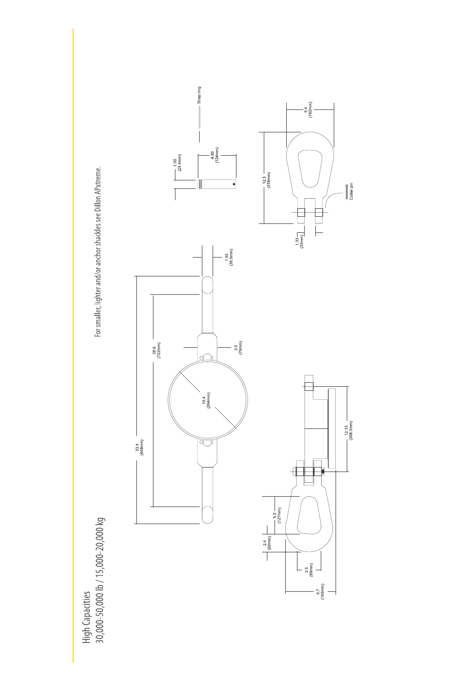High Capacities<br>30,000-50,000 lb / 15,000-20,000 kg

For smaller, lighter and/or anchor shackles see Dillon APxtreme.